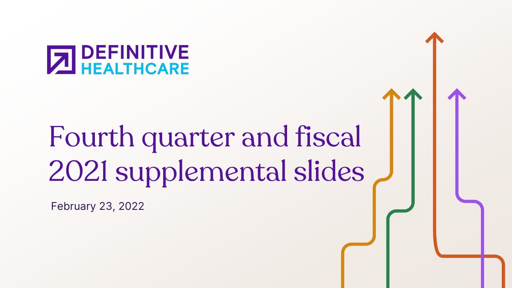# **T DEFINITIVE<br>4 HEALTHCARE**

## Fourth quarter and fiscal 2021 supplemental slides

February 23, 2022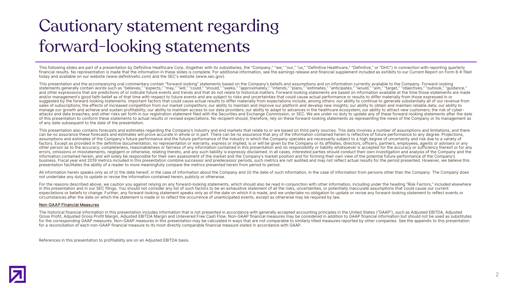### Cautionary statement regarding forward-looking statements

This following slides are part of a presentation by Definitive Healthcare Corp. (together with its subsidiaries, the "Company." "we." "our." "us." "Definitive Healthcare." "Definitive." or "DHC") in connection with reporti financial results. No representation is made that the information in these slides is complete. For additional information, see the earnings release and financial supplement included as exhibits to our Current Report on For today and available on our website (www.definitivehc.com) and the SEC's website (www.sec.gov).

This presentation and the accompanying oral commentary contain "forward-looking" statements based on the Company's beliefs and assumptions and on information currently available to the Company. Forward-looking statements generally contain words such as "believes," "expects," "may," "will," "could," "should," "should," "seeks," "approximately," "intends," "plans," "estimates," "anticipates," "would," "aim," "target," "objectives, and other expressions that are predictions of or indicate future events and trends and that do not relate to historical matters. Forward-looking statements are based on information available at the time those statements ar and/or management's good faith belief as of that time with respect to future events and are subject to risks and uncertainties that could cause actual performance or results to differ materially from those expressed in or suggested by the forward-looking statements. Important factors that could cause actual results to differ materially from expectations include, among others: our ability to continue to generate substantially all of our reve sales of subscriptions; the effects of increased competition from our market competitors; our ability to maintain and improve our platform and develop new insights; our ability to obtain and maintain reliable data; our abi manage our growth and achieve and sustain profitability; our ability to maintain access to our data providers; our ability to adapt to advances in the healthcare ecosystem; our ability to attract new customers; the risk of attacks and data breaches: and other risks set forth in our registration statement filed with the Securities and Exchange Commission, or SEC. We are under no duty to update any of these forward-looking statements after the of this presentation to conform these statements to actual results or revised expectations. No recipient should, therefore, rely on these forward-looking statements as representing the views of the Company or its managemen of any date subsequent to the date of the presentation.

This presentation also contains forecasts and estimates regarding the Company's industry and end markets that relate to or are based on third party sources. This data involves a number of assumptions and limitations, and t can be no assurance these forecasts and estimates will prove accurate in whole or in part. There can be no assurance that any of the information contained herein is reflective of future performance to any degree. Projectio assumptions and estimates of the Company's future performance and the future performance of the industry in which the Company operates are necessarily subject to a high degree of uncertainty and risk due to a variety of factors. Except as provided in the definitive documentation, no representation or warranty, express or implied, is or will be given by the Company or its affiliates, directors, officers, partners, employees, agents or advi other person as to the accuracy, completeness, reasonableness or fairness of any information contained in this presentation and no responsibility or liability whatsoever is accepted for the accuracy or sufficiency thereof errors, omissions or misstatements, negligent or otherwise, relating thereto, and any such liability is expressly disclaimed. In all cases, interested parties should conduct their own investigation and analysis of the Comp information contained herein, and will solely be responsible for their own assessment of the market and the Company's market position and for forming their own view of the potential future performance of the Company's business. Fiscal year end 2019 metrics included in this presentation combine successor and predecessor periods, such metrics are not audited and may not reflect actual results for the period presented. However, we believe presentation facilitates the ability of a reader to more meaningfully compare the metrics presented herein from period to period.

All information herein speaks only as of (i) the date hereof, in the case of information about the Company and (ii) the date of such information, in the case of information from persons other than the Company. The Company not undertake any duty to update or revise the information contained herein, publicly or otherwise.

For the reasons described above, we caution you against relying on any forward-looking statements, which should also be read in conjunction with other information, including under the heading "Risk Factors," included elsew in this presentation and in our SEC filings. You should not consider any list of such factors to be an exhaustive statement of all the risks, uncertainties, or potentially inaccurate assumptions that could cause our current expectations or beliefs to change. Further, any forward-looking statement speaks only as of the date on which it is made, and we undertake no obligation to update or revise any forward-looking statement to reflect events o circumstances after the date on which the statement is made or to reflect the occurrence of unanticipated events, except as otherwise may be required by law.

#### Non-GAAP Financial Measures

The historical financial information in this presentation includes information that is not presented in accordance with generally accepted accounting principles in the United States ("GAAP"), such as Adjusted EBITDA, Adjus Gross Profit, Adjusted Gross Profit Margin, Adjusted EBITDA Margin and Unlevered Free Cash Flow. Non-GAAP financial measures may be considered in addition to GAAP financial information but should not be used as substitutes for the corresponding GAAP measures. Non-GAAP measures in this presentation may be calculated in ways that are not comparable to similarly titled measures reported by other companies. See the appendix to this presentation for a reconciliation of each non-GAAP financial measure to its most directly comparable financial measure stated in accordance with GAAP.

References in this presentation to profitability are on an Adjusted EBITDA basis.

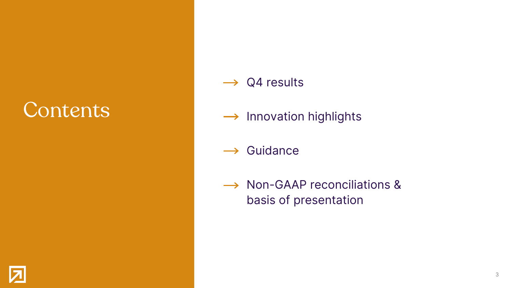## **Contents**

- $\rightarrow$  Q4 results
- $\rightarrow$  Innovation highlights
- $\rightarrow$  Guidance
- → Non-GAAP reconciliations & basis of presentation

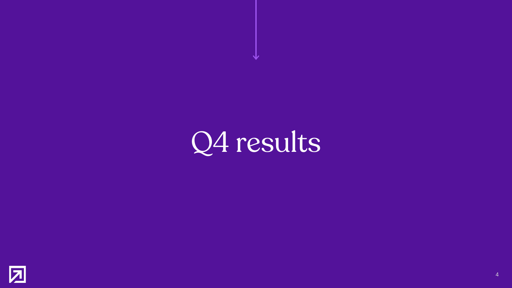

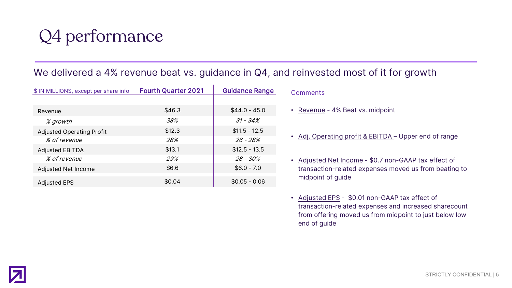### Q4 performance

### We delivered a 4% revenue beat vs. guidance in Q4, and reinvested most of it for growth

| \$ IN MILLIONS, except per share info | <b>Fourth Quarter 2021</b> | <b>Guidance Range</b> |
|---------------------------------------|----------------------------|-----------------------|
|                                       |                            |                       |
| Revenue                               | \$46.3                     | $$44.0 - 45.0$        |
| % growth                              | 38%                        | $31 - 34\%$           |
| <b>Adjusted Operating Profit</b>      | \$12.3                     | $$11.5 - 12.5$        |
| <i>% of revenue</i>                   | 28%                        | 26 - 28%              |
| <b>Adjusted EBITDA</b>                | \$13.1                     | $$12.5 - 13.5$        |
| % of revenue                          | 29%                        | 28 - 30%              |
| Adjusted Net Income                   | \$6.6                      | $$6.0 - 7.0$          |
| <b>Adjusted EPS</b>                   | \$0.04                     | $$0.05 - 0.06$        |

**Comments** 

- Revenue 4% Beat vs. midpoint
- Adj. Operating profit & EBITDA Upper end of range
- Adjusted Net Income \$0.7 non-GAAP tax effect of transaction-related expenses moved us from beating to midpoint of guide
- Adjusted EPS \$0.01 non-GAAP tax effect of transaction-related expenses and increased sharecount from offering moved us from midpoint to just below low end of guide

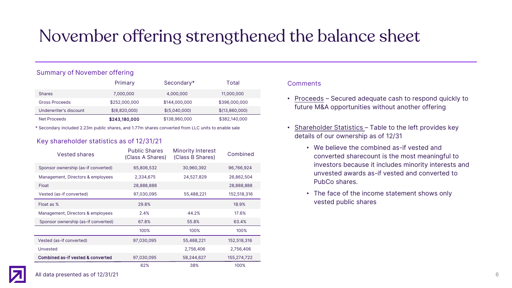### November offering strengthened the balance sheet

#### Summary of November offering

|                        | Primary        | Secondary*    | Total          |
|------------------------|----------------|---------------|----------------|
| <b>Shares</b>          | 7,000,000      | 4,000,000     | 11,000,000     |
| Gross Proceeds         | \$252,000,000  | \$144,000,000 | \$396,000,000  |
| Underwriter's discount | \$ (8,820,000) | \$(5,040,000) | \$(13,860,000) |
| Net Proceeds           | \$243,180,000  | \$138,960,000 | \$382,140,000  |

\* Secondary included 2.23m public shares, and 1.77m shares converted from LLC units to enable sale

#### Key shareholder statistics as of 12/31/21

| <b>Vested shares</b>                | <b>Public Shares</b><br>(Class A Shares) | <b>Minority Interest</b><br>(Class B Shares) | Combined    |
|-------------------------------------|------------------------------------------|----------------------------------------------|-------------|
| Sponsor ownership (as-if converted) | 65,806,532                               | 30,960,392                                   | 96,766,924  |
| Management, Directors & employees   | 2,334,675                                | 24,527,829                                   | 26,862,504  |
| Float                               | 28,888,888                               |                                              | 28,888,888  |
| Vested (as-if converted)            | 97,030,095                               | 55,488,221                                   | 152,518,316 |
| Float as %                          | 29.8%                                    |                                              | 18.9%       |
| Management, Directors & employees   | 2.4%                                     | 44.2%                                        | 17.6%       |
| Sponsor ownership (as-if converted) | 67.8%                                    | 55.8%                                        | 63.4%       |
|                                     | 100%                                     | 100%                                         | 100%        |
| Vested (as-if converted)            | 97,030,095                               | 55,488,221                                   | 152,518,316 |
| Unvested                            |                                          | 2,756,406                                    | 2,756,406   |
| Combined as-if vested & converted   | 97,030,095                               | 58,244,627                                   | 155,274,722 |
|                                     | 62%                                      | 38%                                          | 100%        |

#### **Comments**

- Proceeds Secured adequate cash to respond quickly to future M&A opportunities without another offering
- Shareholder Statistics Table to the left provides key details of our ownership as of 12/31
	- We believe the combined as-if vested and converted sharecount is the most meaningful to investors because it includes minority interests and unvested awards as-if vested and converted to PubCo shares.
	- The face of the income statement shows only vested public shares



All data presented as of 12/31/21 6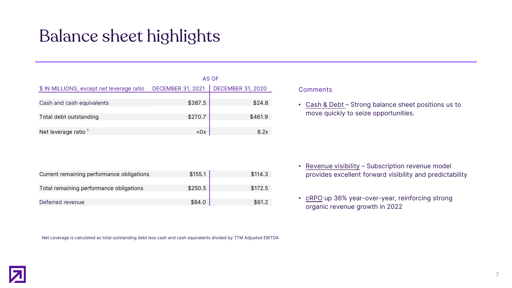### Balance sheet highlights

|                                           |                          | AS OF                    |
|-------------------------------------------|--------------------------|--------------------------|
| \$ IN MILLIONS, except net leverage ratio | <b>DECEMBER 31, 2021</b> | <b>DECEMBER 31, 2020</b> |
|                                           |                          |                          |
| Cash and cash equivalents                 | \$387.5                  | \$24.8                   |
|                                           |                          |                          |
| Total debt outstanding                    | \$270.7                  | \$461.9                  |
|                                           |                          |                          |
| Net leverage ratio <sup>1</sup>           | $<$ 0 $\times$           | 8.2x                     |

| Current remaining performance obligations | \$155.1 | \$114.3 |
|-------------------------------------------|---------|---------|
| Total remaining performance obligations   | \$250.5 | \$172.5 |
| Deferred revenue                          | \$84.0  | \$61.2  |

Net Leverage is calculated as total outstanding debt less cash and cash equivalents divided by TTM Adjusted EBITDA

#### **Comments**

• Cash & Debt - Strong balance sheet positions us to move quickly to seize opportunities.

- Revenue visibility Subscription revenue model provides excellent forward visibility and predictability
- cRPO up 36% year-over-year, reinforcing strong organic revenue growth in 2022

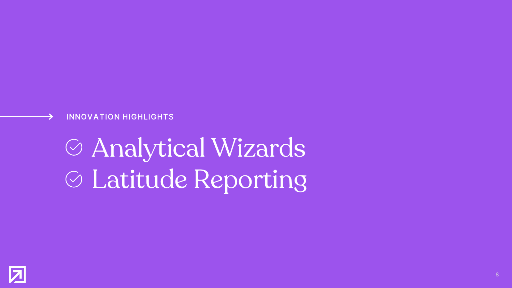#### INNOVATION HIGHLIGHTS

## Analytical Wizards Latitude Reporting

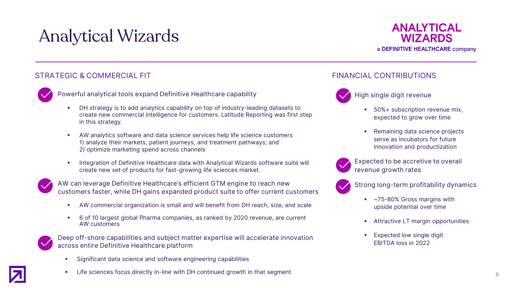### Analytical Wizards



#### STRATEGIC & COMMERCIAL FIT STRATEGIC & COMMERCIAL FIT



- Powerful analytical tools expand Definitive Healthcare capability
	- DH strategy is to add analytics capability on top of industry-leading datasets to create new commercial intelligence for customers. Latitude Reporting was first step in this strategy.
	- AW analytics software and data science services help life science customers 1) analyze their markets, patient journeys, and treatment pathways; and 2) optimize marketing spend across channels
	- Integration of Definitive Healthcare data with Analytical Wizards software suite will create new set of products for fast-growing life sciences market.



AW can leverage Definitive Healthcare's efficient GTM engine to reach new customers faster, while DH gains expanded product suite to offer current customers

- AW commercial organization is small and will benefit from DH reach, size, and scale
- 6 of 10 largest global Pharma companies, as ranked by 2020 revenue, are current AW customers



Deep off-shore capabilities and subject matter expertise will accelerate innovation across entire Definitive Healthcare platform

Significant data science and software engineering capabilities





#### High single digit revenue

- 50%+ subscription revenue mix, expected to grow over time
- Remaining data science projects serve as incubators for future innovation and productization



Expected to be accretive to overall revenue growth rates



Strong long-term profitability dynamics

- ~75-80% Gross margins with upside potential over time
- **Attractive LT margin opportunities**
- Expected low single digit EBITDA loss in 2022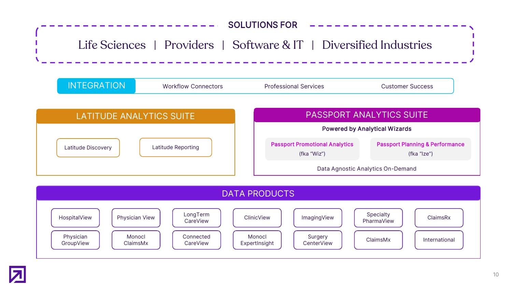





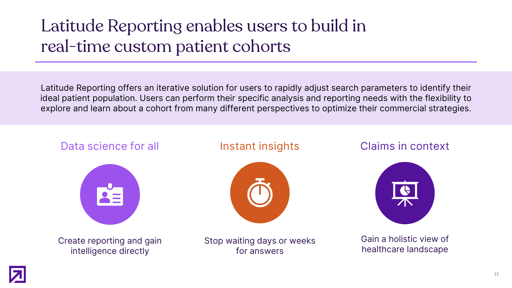### Latitude Reporting enables users to build in real-time custom patient cohorts

Latitude Reporting offers an iterative solution for users to rapidly adjust search parameters to identify their ideal patient population. Users can perform their specific analysis and reporting needs with the flexibility to explore and learn about a cohort from many different perspectives to optimize their commercial strategies.



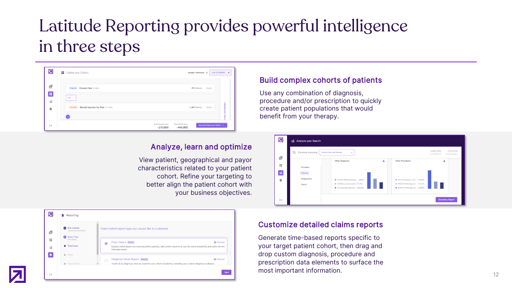### Latitude Reporting provides powerful intelligence in three steps

| 囨                             | <b>B</b> Create your Cohort                      |                                         | Sample Timeframe <sup>1</sup>            | Last 12 Months $\mathsf{v}$    |
|-------------------------------|--------------------------------------------------|-----------------------------------------|------------------------------------------|--------------------------------|
| ெ                             | Diagnosis Chronic Pain 5 codes                   |                                         | ~7M Patients                             | <b>Delete</b>                  |
| Æ<br>$\mathcal{L}_\mathrm{H}$ | AND $\sim$                                       |                                         |                                          |                                |
| 自                             | Procedure<br>Steroid Injection for Pain 11 codes |                                         | $-1.4M$ Patients                         | Additional<br>Delete<br>Hite   |
| $[\rightarrow$                |                                                  | <b>Total Provider Count</b><br>~170,000 | <b>Total Patient Count</b><br>$-440,000$ | Save and Analyze your Cohort > |

#### Analyze, learn and optimize

View patient, geographical and payor characteristics related to your patient cohort. Refine your targeting to better align the patient cohort with your business objectives.



#### Build complex cohorts of patients

Use any combination of diagnosis, procedure and/or prescription to quickly create patient populations that would benefit from your therapy.



#### Customize detailed claims reports

Generate time-based reports specific to your target patient cohort, then drag and drop custom diagnosis, procedure and prescription data elements to surface the most important information.

12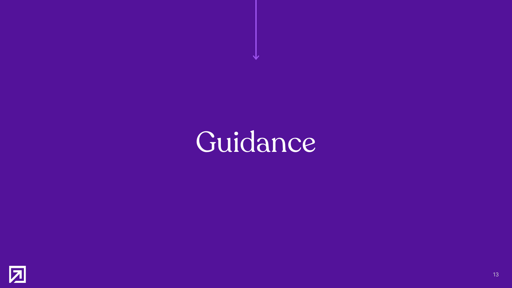Guidance

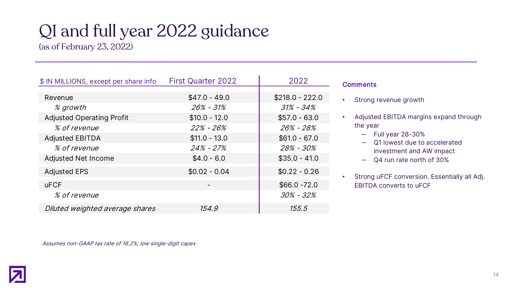### Q1 and full year 2022 guidance

(as of February 23, 2022)

| \$ IN MILLIONS, except per share info | <b>First Quarter 2022</b> | 2022             |
|---------------------------------------|---------------------------|------------------|
|                                       |                           |                  |
| Revenue                               | $$47.0 - 49.0$            | $$218.0 - 222.0$ |
| % growth                              | $26\% - 31\%$             | $31\% - 34\%$    |
| <b>Adjusted Operating Profit</b>      | $$10.0 - 12.0$            | $$57.0 - 63.0$   |
| % of revenue                          | $22\% - 26\%$             | $26\% - 28\%$    |
| <b>Adjusted EBITDA</b>                | $$11.0 - 13.0$            | $$61.0 - 67.0$   |
| % of revenue                          | $24\% - 27\%$             | 28% - 30%        |
| <b>Adjusted Net Income</b>            | $$4.0 - 6.0$              | $$35.0 - 41.0$   |
| <b>Adjusted EPS</b>                   | $$0.02 - 0.04$            | $$0.22 - 0.26$   |
| <b>uFCF</b>                           |                           | $$66.0 -72.0$    |
| % of revenue                          |                           | $30\% - 32\%$    |
| Diluted weighted average shares       | 154.9                     | 155.5            |

| <b>Comments</b> |
|-----------------|
|-----------------|

• Strong revenue growth

• Adjusted EBITDA margins expand through the year

- ‒ Full year 28-30%
- ‒ Q1 lowest due to accelerated investment and AW impact
- Q4 run rate north of 30%
- Strong uFCF conversion. Essentially all Adj. EBITDA converts to uFCF

Assumes non-GAAP tax rate of 16.2%; low single-digit capex

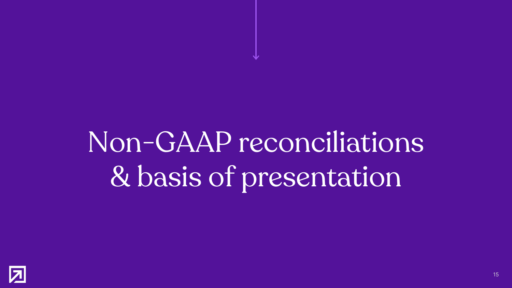## Non-GAAP reconciliations & basis of presentation

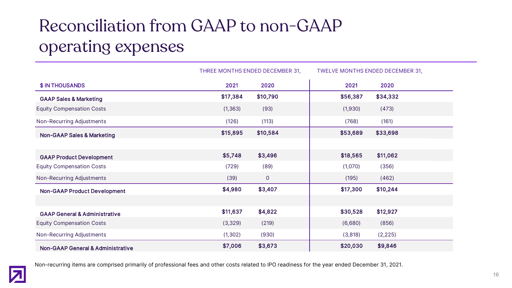### Reconciliation from GAAP to non-GAAP operating expenses

|                                              |          | THREE MONTHS ENDED DECEMBER 31, |          | TWELVE MONTHS ENDED DECEMBER 31, |
|----------------------------------------------|----------|---------------------------------|----------|----------------------------------|
| \$ IN THOUSANDS                              | 2021     | 2020                            | 2021     | 2020                             |
| <b>GAAP Sales &amp; Marketing</b>            | \$17,384 | \$10,790                        | \$56,387 | \$34,332                         |
| <b>Equity Compensation Costs</b>             | (1, 363) | (93)                            | (1,930)  | (473)                            |
| Non-Recurring Adjustments                    | (126)    | (113)                           | (768)    | (161)                            |
| <b>Non-GAAP Sales &amp; Marketing</b>        | \$15,895 | \$10,584                        | \$53,689 | \$33,698                         |
|                                              |          |                                 |          |                                  |
| <b>GAAP Product Development</b>              | \$5,748  | \$3,496                         | \$18,565 | \$11,062                         |
| <b>Equity Compensation Costs</b>             | (729)    | (89)                            | (1,070)  | (356)                            |
| Non-Recurring Adjustments                    | (39)     | $\mathbf{O}$                    | (195)    | (462)                            |
| <b>Non-GAAP Product Development</b>          | \$4,980  | \$3,407                         | \$17,300 | \$10,244                         |
|                                              |          |                                 |          |                                  |
| <b>GAAP General &amp; Administrative</b>     | \$11,637 | \$4,822                         | \$30,528 | \$12,927                         |
| <b>Equity Compensation Costs</b>             | (3,329)  | (219)                           | (6,680)  | (856)                            |
| Non-Recurring Adjustments                    | (1, 302) | (930)                           | (3,818)  | (2, 225)                         |
| <b>Non-GAAP General &amp; Administrative</b> | \$7,006  | \$3,673                         | \$20,030 | \$9,846                          |



Non-recurring items are comprised primarily of professional fees and other costs related to IPO readiness for the year ended December 31, 2021.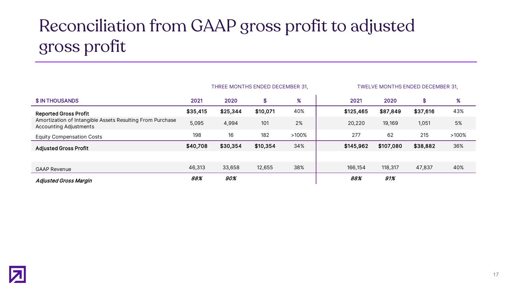### Reconciliation from GAAP gross profit to adjusted gross profit

|                                                                                            |          | THREE MONTHS ENDED DECEMBER 31, |          |          |           |           | TWELVE MONTHS ENDED DECEMBER 31, |          |
|--------------------------------------------------------------------------------------------|----------|---------------------------------|----------|----------|-----------|-----------|----------------------------------|----------|
| <b>\$IN THOUSANDS</b>                                                                      | 2021     | 2020                            | \$       | $\%$     | 2021      | 2020      | \$                               | %        |
| <b>Reported Gross Profit</b>                                                               | \$35,415 | \$25,344                        | \$10,071 | 40%      | \$125,465 | \$87,849  | \$37,616                         | 43%      |
| Amortization of Intangible Assets Resulting From Purchase<br><b>Accounting Adjustments</b> | 5,095    | 4,994                           | 101      | 2%       | 20,220    | 19,169    | 1,051                            | 5%       |
| <b>Equity Compensation Costs</b>                                                           | 198      | 16                              | 182      | $>100\%$ | 277       | 62        | 215                              | $>100\%$ |
| <b>Adjusted Gross Profit</b>                                                               | \$40,708 | \$30,354                        | \$10,354 | 34%      | \$145,962 | \$107,080 | \$38,882                         | 36%      |
|                                                                                            |          |                                 |          |          |           |           |                                  |          |
| <b>GAAP Revenue</b>                                                                        | 46,313   | 33,658                          | 12,655   | 38%      | 166,154   | 118,317   | 47,837                           | 40%      |
| <b>Adjusted Gross Margin</b>                                                               | 88%      | 90%                             |          |          | 88%       | 91%       |                                  |          |

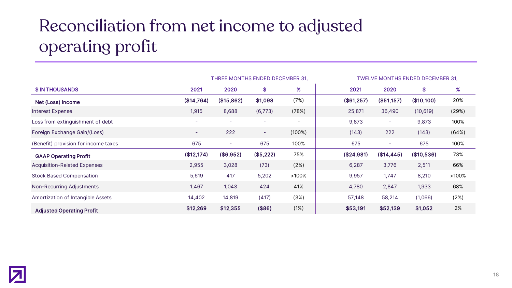### Reconciliation from net income to adjusted operating profit

|                                      |            | THREE MONTHS ENDED DECEMBER 31, |           |                          | TWELVE MONTHS ENDED DECEMBER 31,               |
|--------------------------------------|------------|---------------------------------|-----------|--------------------------|------------------------------------------------|
| \$ IN THOUSANDS                      | 2021       | 2020                            | \$        | $\%$                     | %<br>2020<br>\$<br>2021                        |
| <b>Net (Loss) Income</b>             | (\$14,764) | (\$15,862)                      | \$1,098   | (7%)                     | 20%<br>(\$51,157)<br>(\$10,100)<br>(\$61,257)  |
| Interest Expense                     | 1,915      | 8,688                           | (6,773)   | (78%)                    | 25,871<br>36,490<br>(29%)<br>(10, 619)         |
| Loss from extinguishment of debt     |            | $\overline{\phantom{a}}$        |           | $\overline{\phantom{a}}$ | 100%<br>9,873<br>9,873<br>$\sim$               |
| Foreign Exchange Gain/(Loss)         | $\sim$     | 222                             | $\sim$    | (100%)                   | 222<br>(64%)<br>(143)<br>(143)                 |
| (Benefit) provision for income taxes | 675        | $\overline{\phantom{a}}$        | 675       | 100%                     | 675<br>100%<br>675<br>$\sim$                   |
| <b>GAAP Operating Profit</b>         | (\$12,174) | (\$6,952)                       | (\$5,222) | 75%                      | 73%<br>(\$24,981)<br>(\$14, 445)<br>(\$10,536) |
| <b>Acquisition-Related Expenses</b>  | 2,955      | 3,028                           | (73)      | (2%)                     | 3,776<br>66%<br>2,511<br>6,287                 |
| <b>Stock Based Compensation</b>      | 5,619      | 417                             | 5,202     | $>100\%$                 | 1,747<br>8,210<br>9,957<br>$>100\%$            |
| Non-Recurring Adjustments            | 1,467      | 1,043                           | 424       | 41%                      | 68%<br>1,933<br>2,847<br>4,780                 |
| Amortization of Intangible Assets    | 14,402     | 14,819                          | (417)     | (3%)                     | 58,214<br>(1,066)<br>(2%)<br>57,148            |
| <b>Adjusted Operating Profit</b>     | \$12,269   | \$12,355                        | (\$86)    | (1%)                     | 2%<br>\$53,191<br>\$52,139<br>\$1,052          |

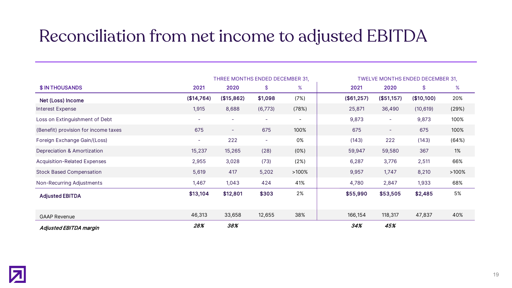### Reconciliation from net income to adjusted EBITDA

|                                      |            | THREE MONTHS ENDED DECEMBER 31, |                          |                          |            |                          | TWELVE MONTHS ENDED DECEMBER 31, |          |
|--------------------------------------|------------|---------------------------------|--------------------------|--------------------------|------------|--------------------------|----------------------------------|----------|
| <b>\$ IN THOUSANDS</b>               | 2021       | 2020                            | \$                       | %                        | 2021       | 2020                     | \$                               | %        |
| Net (Loss) Income                    | (\$14,764) | (\$15,862)                      | \$1,098                  | (7%)                     | (\$61,257) | (\$51,157)               | (\$10,100)                       | 20%      |
| <b>Interest Expense</b>              | 1,915      | 8,688                           | (6, 773)                 | (78%)                    | 25,871     | 36,490                   | (10, 619)                        | (29%)    |
| Loss on Extinguishment of Debt       | $\sim$     | $\sim$                          | $\overline{\phantom{a}}$ | $\overline{\phantom{a}}$ | 9,873      | $\overline{\phantom{a}}$ | 9,873                            | 100%     |
| (Benefit) provision for income taxes | 675        | ۰.                              | 675                      | 100%                     | 675        | $\overline{\phantom{a}}$ | 675                              | 100%     |
| Foreign Exchange Gain/(Loss)         | н.         | 222                             | ۰                        | 0%                       | (143)      | 222                      | (143)                            | (64%)    |
| Depreciation & Amortization          | 15,237     | 15,265                          | (28)                     | (0%)                     | 59,947     | 59,580                   | 367                              | 1%       |
| <b>Acquisition-Related Expenses</b>  | 2,955      | 3,028                           | (73)                     | (2%)                     | 6,287      | 3,776                    | 2,511                            | 66%      |
| <b>Stock Based Compensation</b>      | 5,619      | 417                             | 5,202                    | $>100\%$                 | 9,957      | 1,747                    | 8,210                            | $>100\%$ |
| Non-Recurring Adjustments            | 1,467      | 1,043                           | 424                      | 41%                      | 4,780      | 2,847                    | 1,933                            | 68%      |
| <b>Adjusted EBITDA</b>               | \$13,104   | \$12,801                        | \$303                    | 2%                       | \$55,990   | \$53,505                 | \$2,485                          | 5%       |
|                                      |            |                                 |                          |                          |            |                          |                                  |          |
| <b>GAAP Revenue</b>                  | 46,313     | 33,658                          | 12,655                   | 38%                      | 166,154    | 118,317                  | 47,837                           | 40%      |
| Adjusted EBITDA margin               | 28%        | 38%                             |                          |                          | 34%        | 45%                      |                                  |          |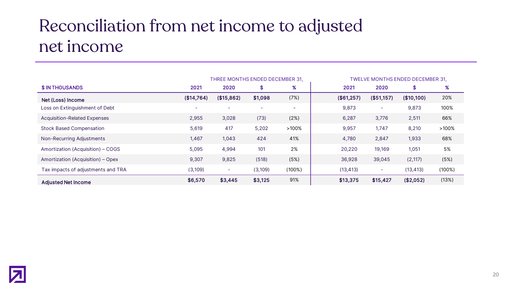### Reconciliation from net income to adjusted net income

|                                     |            | THREE MONTHS ENDED DECEMBER 31. |          |          | TWELVE MONTHS ENDED DECEMBER 31, |            |            |        |
|-------------------------------------|------------|---------------------------------|----------|----------|----------------------------------|------------|------------|--------|
| \$ IN THOUSANDS                     | 2021       | 2020                            | \$       | %        | 2021                             | 2020       | S          | %      |
| Net (Loss) Income                   | (\$14,764) | (\$15,862)                      | \$1,098  | (7%)     | (\$61,257)                       | (\$51,157) | (\$10,100) | 20%    |
| Loss on Extinguishment of Debt      |            | ٠                               |          | -        | 9,873                            | $\sim$     | 9,873      | 100%   |
| <b>Acquisition-Related Expenses</b> | 2,955      | 3,028                           | (73)     | (2%)     | 6,287                            | 3,776      | 2,511      | 66%    |
| <b>Stock Based Compensation</b>     | 5,619      | 417                             | 5,202    | $>100\%$ | 9,957                            | 1,747      | 8,210      | >100%  |
| Non-Recurring Adjustments           | 1,467      | 1,043                           | 424      | 41%      | 4,780                            | 2,847      | 1,933      | 68%    |
| Amortization (Acquisition) – COGS   | 5,095      | 4,994                           | 101      | 2%       | 20,220                           | 19,169     | 1,051      | 5%     |
| Amortization (Acquisition) - Opex   | 9,307      | 9,825                           | (518)    | (5%)     | 36,928                           | 39,045     | (2, 117)   | (5%)   |
| Tax impacts of adjustments and TRA  | (3,109)    | ۰                               | (3, 109) | (100%)   | (13, 413)                        | $\sim$     | (13, 413)  | (100%) |
| <b>Adjusted Net Income</b>          | \$6,570    | \$3,445                         | \$3,125  | 91%      | \$13,375                         | \$15,427   | (\$2,052)  | (13%)  |

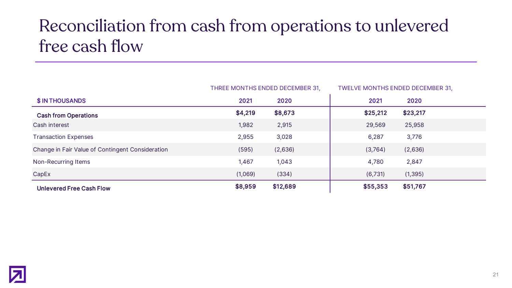### Reconciliation from cash from operations to unlevered free cash flow

|                                                  | THREE MONTHS ENDED DECEMBER 31, |          | TWELVE MONTHS ENDED DECEMBER 31, |          |
|--------------------------------------------------|---------------------------------|----------|----------------------------------|----------|
| <b>\$IN THOUSANDS</b>                            | 2021                            | 2020     | 2021                             | 2020     |
| <b>Cash from Operations</b>                      | \$4,219                         | \$8,673  | \$25,212                         | \$23,217 |
| Cash interest                                    | 1,982                           | 2,915    | 29,569                           | 25,958   |
| <b>Transaction Expenses</b>                      | 2,955                           | 3,028    | 6,287                            | 3,776    |
| Change in Fair Value of Contingent Consideration | (595)                           | (2,636)  | (3,764)                          | (2,636)  |
| Non-Recurring Items                              | 1,467                           | 1,043    | 4,780                            | 2,847    |
| CapEx                                            | (1,069)                         | (334)    | (6,731)                          | (1, 395) |
| <b>Unlevered Free Cash Flow</b>                  | \$8,959                         | \$12,689 | \$55,353                         | \$51,767 |